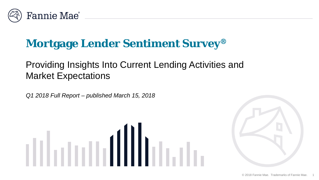

## **Mortgage Lender Sentiment Survey®**

## Providing Insights Into Current Lending Activities and Market Expectations

*Q1 2018 Full Report – published March 15, 2018*



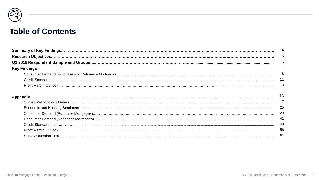

#### **Table of Contents**

|                     | 5  |
|---------------------|----|
|                     | 6  |
| <b>Key Findings</b> |    |
|                     | 8  |
|                     | 11 |
|                     | 13 |
|                     | 16 |
|                     | 17 |
|                     | 25 |
|                     | 29 |
|                     | 41 |
|                     | 48 |
|                     | 56 |
|                     | 61 |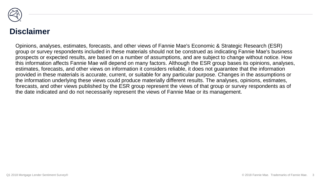

#### **Disclaimer**

Opinions, analyses, estimates, forecasts, and other views of Fannie Mae's Economic & Strategic Research (ESR) group or survey respondents included in these materials should not be construed as indicating Fannie Mae's business prospects or expected results, are based on a number of assumptions, and are subject to change without notice. How this information affects Fannie Mae will depend on many factors. Although the ESR group bases its opinions, analyses, estimates, forecasts, and other views on information it considers reliable, it does not guarantee that the information provided in these materials is accurate, current, or suitable for any particular purpose. Changes in the assumptions or the information underlying these views could produce materially different results. The analyses, opinions, estimates, forecasts, and other views published by the ESR group represent the views of that group or survey respondents as of the date indicated and do not necessarily represent the views of Fannie Mae or its management.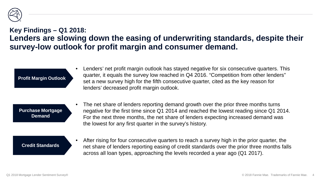

#### **Key Findings – Q1 2018: Lenders are slowing down the easing of underwriting standards, despite their survey-low outlook for profit margin and consumer demand.**

**Profit Margin Outlook**

• Lenders' net profit margin outlook has stayed negative for six consecutive quarters. This quarter, it equals the survey low reached in Q4 2016. "Competition from other lenders" set a new survey high for the fifth consecutive quarter, cited as the key reason for lenders' decreased profit margin outlook.

**Purchase Mortgage Demand**

The net share of lenders reporting demand growth over the prior three months turns negative for the first time since Q1 2014 and reached the lowest reading since Q1 2014. For the next three months, the net share of lenders expecting increased demand was the lowest for any first quarter in the survey's history.

#### **Credit Standards**

After rising for four consecutive quarters to reach a survey high in the prior quarter, the net share of lenders reporting easing of credit standards over the prior three months falls across all loan types, approaching the levels recorded a year ago (Q1 2017).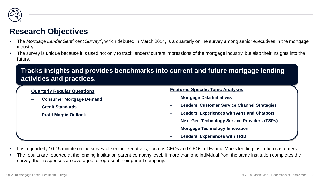

#### **Research Objectives**

- The *Mortgage Lender Sentiment Survey®*, which debuted in March 2014, is a quarterly online survey among senior executives in the mortgage industry.
- The survey is unique because it is used not only to track lenders' current impressions of the mortgage industry, but also their insights into the future.

#### **Tracks insights and provides benchmarks into current and future mortgage lending activities and practices.**

#### **Quarterly Regular Questions**

- **Consumer Mortgage Demand**
- **Credit Standards**
- **Profit Margin Outlook**

#### **Featured Specific Topic Analyses**

- **Mortgage Data Initiatives**
- **Lenders' Customer Service Channel Strategies**
- **Lenders' Experiences with APIs and Chatbots**
- **Next-Gen Technology Service Providers (TSPs)**
- **Mortgage Technology Innovation**
- **Lenders' Experiences with TRID**
- It is a quarterly 10-15 minute online survey of senior executives, such as CEOs and CFOs, of Fannie Mae's lending institution customers.
- The results are reported at the lending institution parent-company level. If more than one individual from the same institution completes the survey, their responses are averaged to represent their parent company.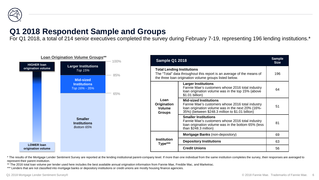

#### **Q1 2018 Respondent Sample and Groups**

For Q1 2018, a total of 214 senior executives completed the survey during February 7-19, representing 196 lending institutions.\*



\* The results of the Mortgage Lender Sentiment Survey are reported at the lending institutional parent-company level. If more than one individual from the same institution completes the survey, their responses are averaged represent their parent institution.

\*\* The 2016 total loan volume per lender used here includes the best available annual origination information from Fannie Mae, Freddie Mac, and Marketrac.

\*\*\* Lenders that are not classified into mortgage banks or depository institutions or credit unions are mostly housing finance agencies.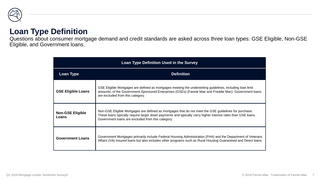

#### **Loan Type Definition**

Questions about consumer mortgage demand and credit standards are asked across three loan types: GSE Eligible, Non-GSE Eligible, and Government loans.

| <b>Loan Type Definition Used in the Survey</b> |                                                                                                                                                                                                                                                                            |  |  |  |  |  |  |  |  |  |
|------------------------------------------------|----------------------------------------------------------------------------------------------------------------------------------------------------------------------------------------------------------------------------------------------------------------------------|--|--|--|--|--|--|--|--|--|
| <b>Loan Type</b>                               | <b>Definition</b>                                                                                                                                                                                                                                                          |  |  |  |  |  |  |  |  |  |
| <b>GSE Eligible Loans</b>                      | GSE Eligible Mortgages are defined as mortgages meeting the underwriting guidelines, including loan limit<br>amounts, of the Government-Sponsored Enterprises (GSEs) (Fannie Mae and Freddie Mac). Government loans<br>are excluded from this category.                    |  |  |  |  |  |  |  |  |  |
| <b>Non-GSE Eligible</b><br>Loans               | Non-GSE Eligible Mortgages are defined as mortgages that do not meet the GSE guidelines for purchase.<br>These loans typically require larger down payments and typically carry higher interest rates than GSE loans.<br>Government loans are excluded from this category. |  |  |  |  |  |  |  |  |  |
| <b>Government Loans</b>                        | Government Mortgages primarily include Federal Housing Administration (FHA) and the Department of Veterans<br>Affairs (VA) insured loans but also includes other programs such as Rural Housing Guaranteed and Direct loans.                                               |  |  |  |  |  |  |  |  |  |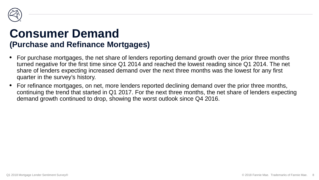

## **Consumer Demand (Purchase and Refinance Mortgages)**

- For purchase mortgages, the net share of lenders reporting demand growth over the prior three months turned negative for the first time since Q1 2014 and reached the lowest reading since Q1 2014. The net share of lenders expecting increased demand over the next three months was the lowest for any first quarter in the survey's history.
- For refinance mortgages, on net, more lenders reported declining demand over the prior three months, continuing the trend that started in Q1 2017. For the next three months, the net share of lenders expecting demand growth continued to drop, showing the worst outlook since Q4 2016.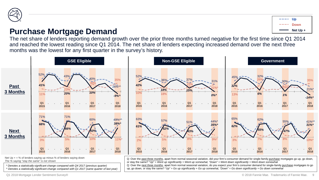

#### **Purchase Mortgage Demand**

**Up Net Up + Down**

The net share of lenders reporting demand growth over the prior three months turned negative for the first time since Q1 2014 and reached the lowest reading since Q1 2014. The net share of lenders expecting increased demand over the next three months was the lowest for any first quarter in the survey's history.



*\* Denotes a statistically significant change compared with Q4 2017 (previous quarter) ^ Denotes a statistically significant change compared with Q1 2017 (same quarter of last year)* or stay the same? *"Up" = Went up significantly + Went up somewhat, "Down" = Went down significantly + Went down somewhat* Q: Over the next three months, apart from normal seasonal variation, do you expect your firm's consumer demand for single-family purchase mortgages to go up, go down, or stay the same? *"Up" = Go up significantly + Go up somewhat, "Down" = Go down significantly + Go down somewhat*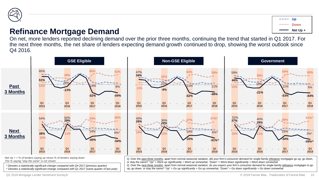

#### **Refinance Mortgage Demand**

On net, more lenders reported declining demand over the prior three months, continuing the trend that started in Q1 2017. For the next three months, the net share of lenders expecting demand growth continued to drop, showing the worst outlook since Q4 2016.



*\* Denotes a statistically significant change compared with Q4 2017 (previous quarter) ^ Denotes a statistically significant change compared with Q1 2017 (same quarter of last year)* Q: Over the next three months, apart from normal seasonal variation, do you expect your firm's consumer demand for single-family refinance mortgages to go up, go down, or stay the same? *"Up" = Go up significantly + Go up somewhat, "Down" = Go down significantly + Go down somewhat*

Q1 2018 Mortgage Lender Sentiment Survey®

**Up**

**Net Up + Down**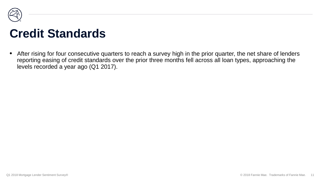

## **Credit Standards**

• After rising for four consecutive quarters to reach a survey high in the prior quarter, the net share of lenders reporting easing of credit standards over the prior three months fell across all loan types, approaching the levels recorded a year ago (Q1 2017).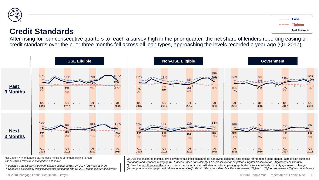

#### **Credit Standards**

After rising for four consecutive quarters to reach a survey high in the prior quarter, the net share of lenders reporting easing of credit standards over the prior three months fell across all loan types, approaching the levels recorded a year ago (Q1 2017).



*The % saying "remain unchanged" is not shown*

*\* Denotes a statistically significant change compared with Q4 2017 (previous quarter) ^ Denotes a statistically significant change compared with Q1 2017 (same quarter of last year)* Q: Over the past three months, how did your firm's credit standards for approving consumer applications for mortgage loans change (across both purchase mortgages and refinance mortgages)? *"Ease" = Eased considerably + Eased somewhat, "Tighten" = Tightened somewhat + Tightened considerably* Q: Over the next three months, how do you expect your firm's credit standards for approving applications from individuals for mortgage loans to change (across purchase mortgages and refinance mortgages)? *"Ease" = Ease considerably + Ease somewhat, "Tighten" = Tighten somewhat + Tighten considerably*

Q1 2018 Mortgage Lender Sentiment Survey®

**Ease**

**Net Ease + Tighten**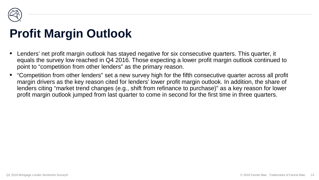

## **Profit Margin Outlook**

- Lenders' net profit margin outlook has stayed negative for six consecutive quarters. This quarter, it equals the survey low reached in Q4 2016. Those expecting a lower profit margin outlook continued to point to "competition from other lenders" as the primary reason.
- "Competition from other lenders" set a new survey high for the fifth consecutive quarter across all profit margin drivers as the key reason cited for lenders' lower profit margin outlook. In addition, the share of lenders citing "market trend changes (e.g., shift from refinance to purchase)" as a key reason for lower profit margin outlook jumped from last quarter to come in second for the first time in three quarters.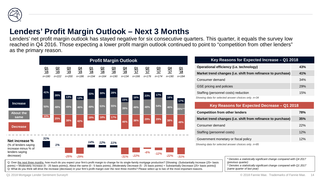

### **Lenders' Profit Margin Outlook – Next 3 Months**

Lenders' net profit margin outlook has stayed negative for six consecutive quarters. This quarter, it equals the survey low reached in Q4 2016. Those expecting a lower profit margin outlook continued to point to "competition from other lenders" as the primary reason.

|                                                                                              |                              | <b>Profit Margin Outlook</b> |                              |                             |                              |                              |                              |                              |                              |                              |                              |                              |                              |
|----------------------------------------------------------------------------------------------|------------------------------|------------------------------|------------------------------|-----------------------------|------------------------------|------------------------------|------------------------------|------------------------------|------------------------------|------------------------------|------------------------------|------------------------------|------------------------------|
|                                                                                              | $\frac{Q1}{15}$<br>$n = 180$ | $\frac{Q2}{15}$<br>$n = 222$ | $\frac{Q3}{15}$<br>$n = 200$ | $rac{Q_4}{15}$<br>$n = 186$ | $\frac{Q1}{16}$<br>$n = 194$ | $\frac{Q2}{16}$<br>$n = 164$ | $\frac{Q3}{16}$<br>$n = 190$ | $\frac{Q4}{16}$<br>$n = 134$ | $\frac{Q1}{17}$<br>$n = 166$ | $\frac{Q2}{17}$<br>$n = 176$ | $\frac{Q3}{17}$<br>$n = 174$ | $\frac{Q4}{17}$<br>$n = 190$ | $\frac{Q1}{18}$<br>$n = 184$ |
| <b>Increase</b>                                                                              | 41%<br>50%                   | 26%<br>48%                   | 13%<br>49%                   | 13%<br>46%                  | 33%<br>49%                   | 30%<br>53%                   | 28%<br>55%                   | 15%<br>39%                   | 16%<br>46%                   | 23%<br>48%                   | 17%<br>54%                   | 16%<br>46%                   | 17%<br>85%*^                 |
| <b>About the</b><br>same<br><b>Decrease</b>                                                  | 10%                          | 25%                          | 38%                          | 42%                         | 19%                          | 18%                          | 17%                          | 46%                          | 38%                          | 29%                          | 29%                          | 38%                          | 48%                          |
| Net increase %<br>(% of lenders saying<br>increase minus % of<br>lenders saying<br>decrease) | 31%                          | 1%                           | $-25%$                       | $-29%$                      | 14%                          | 12%                          | 11%                          | $-31%$                       | $-22%$                       | $-6%$                        | $-12%$                       | $-22%$                       | $-31%$                       |

Q: Over the next three months, how much do you expect your firm's profit margin to change for its single-family mortgage production? [Showing: (Substantially Increase (25+ basis points) + Moderately Increase (5 - 25 basis points)), About the same (0 - 5 basis points), (Moderately Decrease (5 - 25 basis points) + Substantially Decrease (25+ basis points)] Q: What do you think will drive the increase (decrease) in your firm's profit margin over the next three months? Please select up to two of the most important reasons.

| Key Reasons for Expected Increase - Q1 2018                  |     |  |  |  |  |  |  |
|--------------------------------------------------------------|-----|--|--|--|--|--|--|
| Operational efficiency (i.e. technology)<br>43%              |     |  |  |  |  |  |  |
| Market trend changes (i.e. shift from refinance to purchase) | 41% |  |  |  |  |  |  |
| Consumer demand                                              |     |  |  |  |  |  |  |
| GSE pricing and policies                                     | 29% |  |  |  |  |  |  |
| 15%<br>Staffing (personnel costs) reduction                  |     |  |  |  |  |  |  |
| Showing data for selected answer choices only. $n=34$        |     |  |  |  |  |  |  |

#### **Key Reasons for Expected Decrease – Q1 2018**

| <b>Competition from other lenders</b>                        | 78% |
|--------------------------------------------------------------|-----|
| Market trend changes (i.e. shift from refinance to purchase) | 35% |
| Consumer demand                                              | 22% |
| Staffing (personnel costs)                                   | 12% |
| Government monetary or fiscal policy                         | 12% |

*Showing data for selected answer choices only. n=85*

*\* Denotes a statistically significant change compared with Q4 2017 (previous quarter)*

*^ Denotes a statistically significant change compared with Q1 2017 (same quarter of last year)*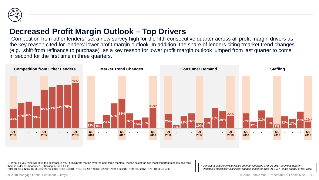

#### **Decreased Profit Margin Outlook – Top Drivers**

"Competition from other lenders" set a new survey high for the fifth consecutive quarter across all profit margin drivers as the key reason cited for lenders' lower profit margin outlook. In addition, the share of lenders citing "market trend changes (e.g., shift from refinance to purchase)" as a key reason for lower profit margin outlook jumped from last quarter to come in second for the first time in three quarters.



Q: What do you think will drive the decrease in your firm's profit margin over the next three months? Please select the two most important reasons and rank them in order of importance. (Showing % rank  $1 + 2$ ) Total: Q1 2016: N=35; Q2 2016: N=29; Q3 2016: N=33; Q4 2016: N=64; Q1 2017: N=63 ; Q2 2017: N=49 ; Q3 2017: N=49 ; Q4 2017: N=75 ; Q1 2018: N=85

*\* Denotes a statistically significant change compared with Q4 2017 (previous quarter) ^ Denotes a statistically significant change compared with Q1 2017 (same quarter of last year)*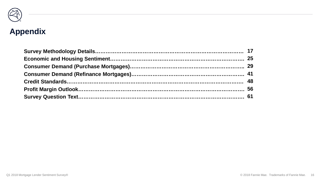

# **Appendix**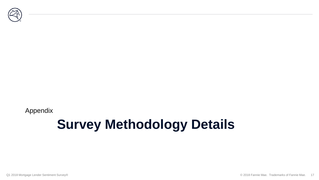

Appendix

## **Survey Methodology Details**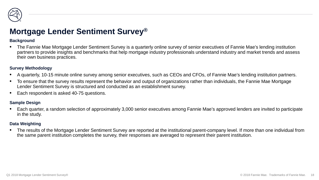

#### **Mortgage Lender Sentiment Survey®**

#### **Background**

• The Fannie Mae Mortgage Lender Sentiment Survey is a quarterly online survey of senior executives of Fannie Mae's lending institution partners to provide insights and benchmarks that help mortgage industry professionals understand industry and market trends and assess their own business practices.

#### **Survey Methodology**

- A quarterly, 10-15 minute online survey among senior executives, such as CEOs and CFOs, of Fannie Mae's lending institution partners.
- To ensure that the survey results represent the behavior and output of organizations rather than individuals, the Fannie Mae Mortgage Lender Sentiment Survey is structured and conducted as an establishment survey.
- Each respondent is asked 40-75 questions.

#### **Sample Design**

• Each quarter, a random selection of approximately 3,000 senior executives among Fannie Mae's approved lenders are invited to participate in the study.

#### **Data Weighting**

• The results of the Mortgage Lender Sentiment Survey are reported at the institutional parent-company level. If more than one individual from the same parent institution completes the survey, their responses are averaged to represent their parent institution.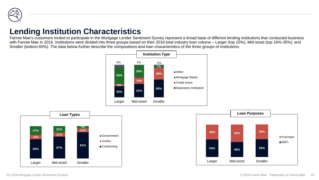

#### **Lending Institution Characteristics**

Fannie Mae's customers invited to participate in the Mortgage Lender Sentiment Survey represent a broad base of different lending institutions that conducted business with Fannie Mae in 2016. Institutions were divided into three groups based on their 2016 total industry loan volume - Larger (top 15%), Mid-sized (top 16%-35%), and Smaller (bottom 65%). The data below further describe the compositions and loan characteristics of the three groups of institutions.





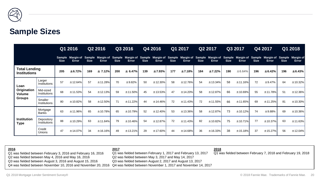

#### **Sample Sizes**

|                                             | Q1 2016                           |             |              | Q3 2016<br>Q2 2016 |              |             | Q4 2016                                                                                                                                                                                   |             | Q1 2017<br>Q2 2017 |             |         | Q3 2017     |          | Q4 2017     |              | Q1 2018     |              |             |             |
|---------------------------------------------|-----------------------------------|-------------|--------------|--------------------|--------------|-------------|-------------------------------------------------------------------------------------------------------------------------------------------------------------------------------------------|-------------|--------------------|-------------|---------|-------------|----------|-------------|--------------|-------------|--------------|-------------|-------------|
|                                             |                                   | <b>Size</b> | <b>Error</b> | <b>Size</b>        | <b>Error</b> | <b>Size</b> | Sample Margin of Sample Margin of Sample Margin of Sample Margin of Sample Margin of Sample Margin of Sample Margin of Sample Margin of Sample Margin of Sample Margin of<br><b>Error</b> | <b>Size</b> | <b>Error</b>       | <b>Size</b> | Error   | <b>Size</b> | Error    | <b>Size</b> | <b>Error</b> | <b>Size</b> | <b>Error</b> | <b>Size</b> | Error       |
| <b>Total Lending</b><br><b>Institutions</b> |                                   | 205         | ± 6.72%      | 169                | ± 7.12%      | 200         | ± 6.47%                                                                                                                                                                                   | 139         | ±7.93%             | 177         | ±7.18%  | 184         | ±7.22%   | 190         | ± 6.64%      | 196         | ±6.42%       | 196         | ±6.43%      |
| Loan<br>Origination<br><b>Volume</b>        | Larger<br>Institutions            | 57          | ±12.64%      | 57                 | ±11.28%      | 70          | ±9.82%                                                                                                                                                                                    | 50          | ± 12.30%           | 58          | ±12.76% | 54          | ±13.34%  | 58          | ±11.16%      | 72          | ±9.47%       | 64          | ±10.32%     |
|                                             | Mid-sized<br>Institutions         | 68          | ±11.53%      | 54                 | ± 12.13%     | 59          | ±11.50%                                                                                                                                                                                   | 45          | ± 13.53%           | 47          | ±14.20% | 58          | ± 12.87% | 66          | ±10.69%      | 55          | ±11.78%      | 51          | $± 12.36\%$ |
| <b>Groups</b>                               | Smaller<br>Institutions           | 80          | ±10.82%      | 58                 | ±12.50%      | 71          | ±11.22%                                                                                                                                                                                   | 44          | ± 14.46%           | 72          | ±11.43% | 72          | ±11.55%  | 66          | ±11.65%      | 69          | ±11.25%      | 81          | $±10.30\%$  |
| <b>Institution</b><br><b>Type</b>           | Mortgage<br>Banks                 | 63          | ±11.96%      | 65                 | ±10.78%      | 65          | ± 10.79%                                                                                                                                                                                  | 52          | ± 12.40%           | 53          | ±13.36% | 58          | ± 12.87% | 73          | ±10.12%      | 74          | ±9.88%       | 69          | $±10.36\%$  |
|                                             | Depository<br><b>Institutions</b> | 88          | ±10.29%      | 63                 | ±11.84%      | 79          | ±10.46%                                                                                                                                                                                   | 54          | ± 12.87%           | 72          | ±11.43% | 82          | ±10.82%  | 75          | ±10.71%      | 77          | ±10.37%      | 63          | ±11.63%     |
|                                             | Credit<br>Unions                  | 47          | ±14.07%      | 34                 | ±16.16%      | 49          | ±13.21%                                                                                                                                                                                   | 29          | ± 17.60%           | 44          | ±14.68% | 36          | ±16.33%  | 38          | ±15.18%      | 37          | ± 15.27%     | 56          | ± 12.04%    |

**2016** Q1 was fielded between February 3, 2016 and February 16, 2016 Q2 was fielded between May 4, 2016 and May 16, 2016 Q3 was fielded between August 3, 2016 and August 15, 2016 Q4 was fielded between November 10, 2016 and November 20, 2016 Q4 was fielded between November 1, 2017 and November 14, 2017 **2017** Q1 was fielded between February 1, 2017 and February 13, 2017 Q2 was fielded between May 3, 2017 and May 14, 2017 Q3 was fielded between August 2, 2017 and August 13, 2017 **2018** Q1 was fielded between February 7, 2018 and February 19, 2018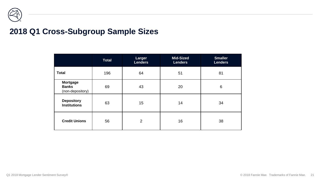

#### **2018 Q1 Cross-Subgroup Sample Sizes**

|                                                     | <b>Total</b> | Larger<br><b>Lenders</b> | <b>Mid-Sized</b><br><b>Lenders</b> | <b>Smaller</b><br><b>Lenders</b> |
|-----------------------------------------------------|--------------|--------------------------|------------------------------------|----------------------------------|
| <b>Total</b>                                        | 196          | 64                       | 51                                 | 81                               |
| <b>Mortgage</b><br><b>Banks</b><br>(non-depository) | 69           | 43                       | 20                                 | $6\phantom{1}6$                  |
| <b>Depository</b><br><b>Institutions</b>            | 63           | 15                       | 14                                 | 34                               |
| <b>Credit Unions</b>                                | 56           | $\overline{2}$           | 16                                 | 38                               |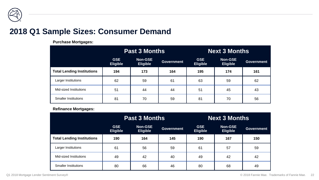

#### **2018 Q1 Sample Sizes: Consumer Demand**

**Purchase Mortgages:**

|                                   |                               | <b>Past 3 Months</b>              |                   | <b>Next 3 Months</b>          |                                   |                   |  |  |
|-----------------------------------|-------------------------------|-----------------------------------|-------------------|-------------------------------|-----------------------------------|-------------------|--|--|
|                                   | <b>GSE</b><br><b>Eligible</b> | <b>Non-GSE</b><br><b>Eligible</b> | <b>Government</b> | <b>GSE</b><br><b>Eligible</b> | <b>Non-GSE</b><br><b>Eligible</b> | <b>Government</b> |  |  |
| <b>Total Lending Institutions</b> | 194                           | 173                               | 164               | 195                           | 174                               | 161               |  |  |
| Larger Institutions               | 62                            | 59                                | 61                | 63                            | 59                                | 62                |  |  |
| Mid-sized Institutions            | 51                            | 44                                | 44                | 51                            | 45                                | 43                |  |  |
| <b>Smaller Institutions</b>       | 81                            | 70                                | 59                | 81                            | 70                                | 56                |  |  |

#### **Refinance Mortgages:**

|                                   |                               | <b>Past 3 Months</b>              |                   | <b>Next 3 Months</b>          |                                   |                   |  |  |
|-----------------------------------|-------------------------------|-----------------------------------|-------------------|-------------------------------|-----------------------------------|-------------------|--|--|
|                                   | <b>GSE</b><br><b>Eligible</b> | <b>Non-GSE</b><br><b>Eligible</b> | <b>Government</b> | <b>GSE</b><br><b>Eligible</b> | <b>Non-GSE</b><br><b>Eligible</b> | <b>Government</b> |  |  |
| <b>Total Lending Institutions</b> | 190                           | 164                               | 145               | 190                           | 167                               | 150               |  |  |
| Larger Institutions               | 61                            | 56                                | 59                | 61                            | 57                                | 59                |  |  |
| Mid-sized Institutions            | 49                            | 42                                | 40                | 49                            | 42                                | 42                |  |  |
| <b>Smaller Institutions</b>       | 80                            | 66                                | 46                | 80                            | 68                                | 49                |  |  |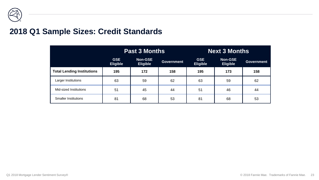

#### **2018 Q1 Sample Sizes: Credit Standards**

|                                   |                               | <b>Past 3 Months</b>              |                   | <b>Next 3 Months</b>          |                                   |                   |  |  |
|-----------------------------------|-------------------------------|-----------------------------------|-------------------|-------------------------------|-----------------------------------|-------------------|--|--|
|                                   | <b>GSE</b><br><b>Eligible</b> | <b>Non-GSE</b><br><b>Eligible</b> | <b>Government</b> | <b>GSE</b><br><b>Eligible</b> | <b>Non-GSE</b><br><b>Eligible</b> | <b>Government</b> |  |  |
| <b>Total Lending Institutions</b> | 195                           | 172                               | 158               | 195                           | 173                               | 158               |  |  |
| Larger Institutions               | 63                            | 59                                | 62                | 63                            | 59                                | 62                |  |  |
| Mid-sized Institutions            | 51                            | 45                                | 44                | 51                            | 46                                | 44                |  |  |
| <b>Smaller Institutions</b>       | 81                            | 68                                | 53                | 81                            | 68                                | 53                |  |  |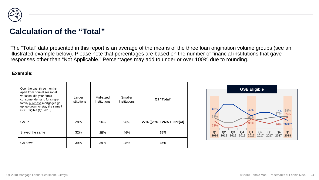

#### **Calculation of the "Total"**

The "Total" data presented in this report is an average of the means of the three loan origination volume groups (see an illustrated example below). Please note that percentages are based on the number of financial institutions that gave responses other than "Not Applicable." Percentages may add to under or over 100% due to rounding.

#### **Example:**

| Over the past three months,<br>apart from normal seasonal<br>variation, did your firm's<br>consumer demand for single-<br>family purchase mortgages go<br>up, go down, or stay the same?<br>GSE Eligible (Q1 2018) | Larger<br>Institutions | Mid-sized<br>Institutions | Smaller<br>Institutions | Q1 "Total"                   |  |  |
|--------------------------------------------------------------------------------------------------------------------------------------------------------------------------------------------------------------------|------------------------|---------------------------|-------------------------|------------------------------|--|--|
| Go up                                                                                                                                                                                                              | 28%                    | 26%                       | 26%                     | $27\%$ [(28% + 26% + 26%)/3] |  |  |
| Stayed the same                                                                                                                                                                                                    | 32%                    | 35%                       | 46%                     | 38%                          |  |  |
| Go down                                                                                                                                                                                                            | 39%                    | 39%                       | 28%                     | 35%                          |  |  |

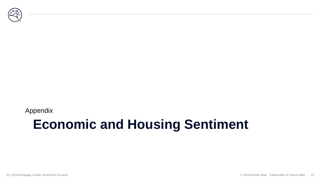

Appendix

## **Economic and Housing Sentiment**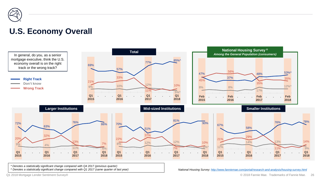

#### **U.S. Economy Overall**



*\* Denotes a statistically significant change compared with Q4 2017 (previous quarter)*

*^ Denotes a statistically significant change compared with Q1 2017 (same quarter of last year) National Housing Survey: <http://www.fanniemae.com/portal/research-and-analysis/housing-survey.html>*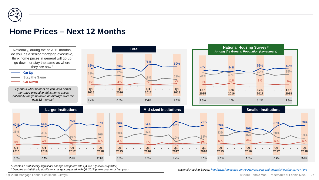

#### **Home Prices – Next 12 Months**



*\* Denotes a statistically significant change compared with Q4 2017 (previous quarter) ^ Denotes a statistically significant change compared with Q1 2017 (same quarter of last year)*

*National Housing Survey: <http://www.fanniemae.com/portal/research-and-analysis/housing-survey.html>*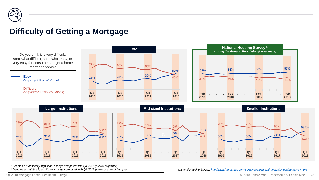

#### **Difficulty of Getting a Mortgage**



*\* Denotes a statistically significant change compared with Q4 2017 (previous quarter) ^ Denotes a statistically significant change compared with Q1 2017 (same quarter of last year)*

*National Housing Survey: <http://www.fanniemae.com/portal/research-and-analysis/housing-survey.html>*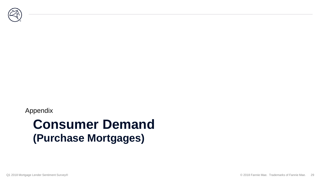

#### Appendix

## **Consumer Demand (Purchase Mortgages)**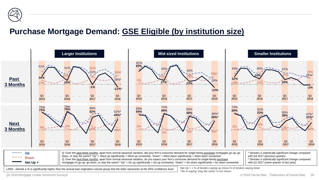

### **Purchase Mortgage Demand: GSE Eligible (by institution size)**

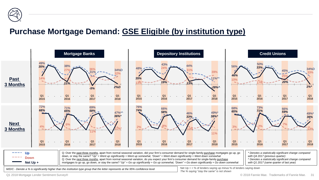

### **Purchase Mortgage Demand: GSE Eligible (by institution type)**

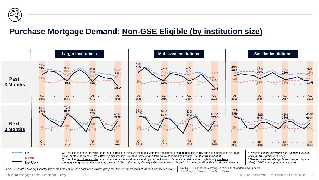

## **Purchase Mortgage Demand: Non-GSE Eligible (by institution size)**

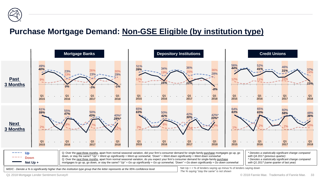

## **Purchase Mortgage Demand: Non-GSE Eligible (by institution type)**



Q1 2018 Mortgage Lender Sentiment Survey®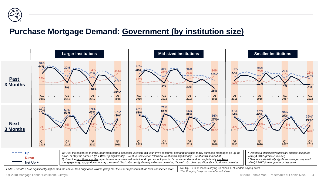

#### **Purchase Mortgage Demand: Government (by institution size)**



Q1 2018 Mortgage Lender Sentiment Survey®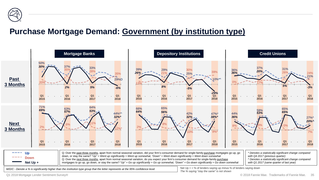

#### **Purchase Mortgage Demand: Government (by institution type)**



Q1 2018 Mortgage Lender Sentiment Survey®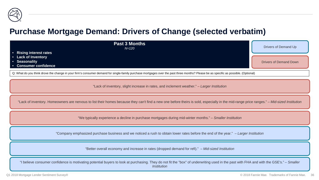

#### **Purchase Mortgage Demand: Drivers of Change (selected verbatim)**

| <b>Past 3 Months</b><br>$N = 120$<br>• Rising interest rates  | Drivers of Demand Up          |
|---------------------------------------------------------------|-------------------------------|
| • Lack of Inventory<br>• Seasonality<br>• Consumer confidence | <b>Drivers of Demand Down</b> |

Q: What do you think drove the change in your firm's consumer demand for single-family purchase mortgages over the past three months? Please be as specific as possible. (Optional)

"Lack of inventory, slight increase in rates, and inclement weather." *– Larger Institution*

"Lack of inventory. Homeowners are nervous to list their homes because they can't find a new one before theirs is sold, especially in the mid-range price ranges." *– Mid-sized Institution*

"We typically experience a decline in purchase mortgages during mid-winter months." *– Smaller Institution*

"Company emphasized purchase business and we noticed a rush to obtain lower rates before the end of the year." *– Larger Institution*

"Better overall economy and increase in rates (dropped demand for refi)." *– Mid-sized Institution*

"I believe consumer confidence is motivating potential buyers to look at purchasing. They do not fit the "box" of underwriting used in the past with FHA and with the GSE's." *– Smaller Institution*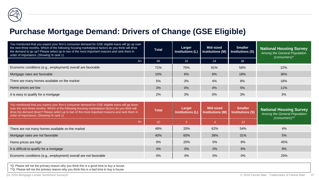#### **Purchase Mortgage Demand: Drivers of Change (GSE Eligible)**

| You mentioned that you expect your firm's consumer demand for GSE eligible loans will go up over<br>the next three months. Which of the following housing marketplace factors do you think will drive<br>the demand to go up? Please select up to two of the most important reasons and rank them in<br>order of importance. (Showing % rank 1) | <b>Total</b> | Larger<br>Institutions (L) | Mid-sized<br>Institutions (M) | Smaller<br>Institutions (S) | <b>National Housing Survey</b><br>Among the General Population<br>$(consumes)^*$ |
|-------------------------------------------------------------------------------------------------------------------------------------------------------------------------------------------------------------------------------------------------------------------------------------------------------------------------------------------------|--------------|----------------------------|-------------------------------|-----------------------------|----------------------------------------------------------------------------------|
| $N=$                                                                                                                                                                                                                                                                                                                                            | 96           | 33                         | 24                            | 38                          |                                                                                  |
| Economic conditions (e.g., employment) overall are favorable                                                                                                                                                                                                                                                                                    | 71%          | 75%                        | 81%                           | 56%                         | 22%                                                                              |
| Mortgage rates are favorable                                                                                                                                                                                                                                                                                                                    | 10%          | 6%                         | 6%                            | 18%                         | 36%                                                                              |
| There are many homes available on the market                                                                                                                                                                                                                                                                                                    | 5%           | 3%                         | 4%                            | 8%                          | 18%                                                                              |
| Home prices are low                                                                                                                                                                                                                                                                                                                             | 3%           | 0%                         | 4%                            | 5%                          | 11%                                                                              |
| It is easy to qualify for a mortgage                                                                                                                                                                                                                                                                                                            | 2%           | 3%                         | 0%                            | 3%                          | 3%                                                                               |

| You mentioned that you expect your firm's consumer demand for GSE eligible loans will go down<br>over the next three months. Which of the following housing marketplace factors do you think will<br>drive the demand down? Please select up to two of the most important reasons and rank them in<br>order of importance. (Showing % rank 1) | <b>Total</b> | Larger<br><b>Institutions (L)</b> | <b>Mid-sized</b><br><b>Institutions (M)</b> | <b>Smaller</b><br><b>Institutions (S)</b> | <b>National Housing Survey</b><br>Among the General Population<br>$(consumes)$ ** |
|-----------------------------------------------------------------------------------------------------------------------------------------------------------------------------------------------------------------------------------------------------------------------------------------------------------------------------------------------|--------------|-----------------------------------|---------------------------------------------|-------------------------------------------|-----------------------------------------------------------------------------------|
| $N=$                                                                                                                                                                                                                                                                                                                                          | 22           |                                   |                                             | 13                                        |                                                                                   |
| There are not many homes available on the market                                                                                                                                                                                                                                                                                              | 48%          | 20%                               | 62%                                         | 54%                                       | 4%                                                                                |
| Mortgage rates are not favorable                                                                                                                                                                                                                                                                                                              | 40%          | 60%                               | 38%                                         | 31%                                       | 5%                                                                                |
| Home prices are high                                                                                                                                                                                                                                                                                                                          | 9%           | 20%                               | 0%                                          | 8%                                        | 45%                                                                               |
| It is difficult to qualify for a mortgage                                                                                                                                                                                                                                                                                                     | 4%           | 0%                                | 0%                                          | 8%                                        | 9%                                                                                |
| Economic conditions (e.g., employment) overall are not favorable                                                                                                                                                                                                                                                                              | $0\%$        | $0\%$                             | 0%                                          | $0\%$                                     | 29%                                                                               |

\*Q: Please tell me the primary reason why you think this is a good time to buy a house.

\*\*Q: Please tell me the primary reason why you think this is a bad time to buy a house.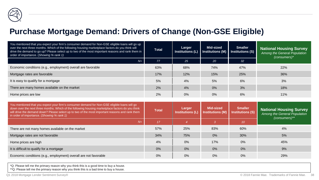#### **Purchase Mortgage Demand: Drivers of Change (Non-GSE Eligible)**

| You mentioned that you expect your firm's consumer demand for Non-GSE eligible loans will go up<br>over the next three months. Which of the following housing marketplace factors do you think will<br>drive the demand to go up? Please select up to two of the most important reasons and rank them in<br>order of importance. (Showing % rank 1) | <b>Total</b> | Larger | Mid-sized<br>Institutions $(L)$ Institutions $(M)$ | <b>Smaller</b><br><b>Institutions (S)</b> | <b>National Housing Survey</b><br>Among the General Population<br>$(consumes)^*$ |
|-----------------------------------------------------------------------------------------------------------------------------------------------------------------------------------------------------------------------------------------------------------------------------------------------------------------------------------------------------|--------------|--------|----------------------------------------------------|-------------------------------------------|----------------------------------------------------------------------------------|
| $N=$                                                                                                                                                                                                                                                                                                                                                | 77           | 25     | <b>20</b>                                          | 32                                        |                                                                                  |
| Economic conditions (e.g., employment) overall are favorable                                                                                                                                                                                                                                                                                        | 63%          | 68%    | 74%                                                | 47%                                       | 22%                                                                              |
| Mortgage rates are favorable                                                                                                                                                                                                                                                                                                                        | 17%          | 12%    | 15%                                                | 25%                                       | 36%                                                                              |
| It is easy to qualify for a mortgage                                                                                                                                                                                                                                                                                                                | 5%           | 4%     | 5%                                                 | 6%                                        | 3%                                                                               |
| There are many homes available on the market                                                                                                                                                                                                                                                                                                        | 2%           | 4%     | 0%                                                 | 3%                                        | 18%                                                                              |
| Home prices are low                                                                                                                                                                                                                                                                                                                                 | 2%           | 0%     | 0%                                                 | 6%                                        | 11%                                                                              |

| You mentioned that you expect your firm's consumer demand for Non-GSE eligible loans will go<br>down over the next three months. Which of the following housing marketplace factors do you think<br>will drive the demand down? Please select up to two of the most important reasons and rank them<br>in order of importance. (Showing % rank 1) | <b>Total</b> | Larger<br>Institutions (L) | <b>Mid-sized</b><br><b>Institutions (M)</b> | <b>Smaller</b><br><b>Institutions (S)</b> | <b>National Housing Survey</b><br>Among the General Population<br>$(consumes)$ ** |
|---------------------------------------------------------------------------------------------------------------------------------------------------------------------------------------------------------------------------------------------------------------------------------------------------------------------------------------------------|--------------|----------------------------|---------------------------------------------|-------------------------------------------|-----------------------------------------------------------------------------------|
| $N=$                                                                                                                                                                                                                                                                                                                                              | 17           |                            |                                             | 10                                        |                                                                                   |
| There are not many homes available on the market                                                                                                                                                                                                                                                                                                  | 57%          | 25%                        | 83%                                         | 60%                                       | 4%                                                                                |
| Mortgage rates are not favorable                                                                                                                                                                                                                                                                                                                  | 34%          | 75%                        | 0%                                          | 30%                                       | 5%                                                                                |
| Home prices are high                                                                                                                                                                                                                                                                                                                              | 4%           | 0%                         | 17%                                         | 0%                                        | 45%                                                                               |
| It is difficult to qualify for a mortgage                                                                                                                                                                                                                                                                                                         | 0%           | 0%                         | 0%                                          | 0%                                        | 9%                                                                                |
| Economic conditions (e.g., employment) overall are not favorable                                                                                                                                                                                                                                                                                  | 0%           | 0%                         | 0%                                          | $0\%$                                     | 29%                                                                               |

\*Q: Please tell me the primary reason why you think this is a good time to buy a house.

\*\*Q: Please tell me the primary reason why you think this is a bad time to buy a house.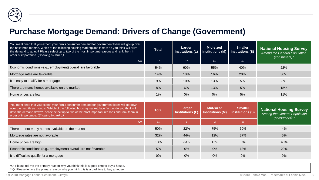#### **Purchase Mortgage Demand: Drivers of Change (Government)**

| You mentioned that you expect your firm's consumer demand for government loans will go up over<br>the next three months. Which of the following housing marketplace factors do you think will drive<br>the demand to go up? Please select up to two of the most important reasons and rank them in<br>order of importance. (Showing % rank 1) | <b>Total</b> | Larger<br>Institutions (L) | Mid-sized<br>Institutions (M) | <b>Smaller</b><br>Institutions (S) | <b>National Housing Survey</b><br>Among the General Population<br>$(consumes)^*$ |
|-----------------------------------------------------------------------------------------------------------------------------------------------------------------------------------------------------------------------------------------------------------------------------------------------------------------------------------------------|--------------|----------------------------|-------------------------------|------------------------------------|----------------------------------------------------------------------------------|
| $N=$                                                                                                                                                                                                                                                                                                                                          | 67           | 31                         | 16                            | 20                                 |                                                                                  |
| Economic conditions (e.g., employment) overall are favorable                                                                                                                                                                                                                                                                                  | 54%          | 60%                        | 55%                           | 40%                                | 22%                                                                              |
| Mortgage rates are favorable                                                                                                                                                                                                                                                                                                                  | 14%          | 10%                        | 16%                           | 20%                                | 36%                                                                              |
| It is easy to qualify for a mortgage                                                                                                                                                                                                                                                                                                          | 9%           | 10%                        | 13%                           | 5%                                 | 3%                                                                               |
| There are many homes available on the market                                                                                                                                                                                                                                                                                                  | 8%           | 6%                         | 13%                           | 5%                                 | 18%                                                                              |
| Home prices are low                                                                                                                                                                                                                                                                                                                           | 1%           | 0%                         | 0%                            | 5%                                 | 11%                                                                              |

| You mentioned that you expect your firm's consumer demand for government loans will go down<br>over the next three months. Which of the following housing marketplace factors do you think will<br>drive the demand down? Please select up to two of the most important reasons and rank them in<br>order of importance. (Showing % rank 1) |     | Larger<br><b>Institutions (L)</b> | <b>Mid-sized</b><br><b>Institutions (M)</b> | <b>Smaller</b><br><b>Institutions (S)</b> | <b>National Housing Survey</b><br>Among the General Population<br>$(consumes)$ ** |  |
|---------------------------------------------------------------------------------------------------------------------------------------------------------------------------------------------------------------------------------------------------------------------------------------------------------------------------------------------|-----|-----------------------------------|---------------------------------------------|-------------------------------------------|-----------------------------------------------------------------------------------|--|
| $N=$                                                                                                                                                                                                                                                                                                                                        | 16  |                                   |                                             | 8                                         |                                                                                   |  |
| There are not many homes available on the market                                                                                                                                                                                                                                                                                            | 50% | 22%                               | 75%                                         | 50%                                       | 4%                                                                                |  |
| Mortgage rates are not favorable                                                                                                                                                                                                                                                                                                            | 32% | 44%                               | 12%                                         | 37%                                       | 5%                                                                                |  |
| Home prices are high                                                                                                                                                                                                                                                                                                                        | 13% | 33%                               | 12%                                         | 0%                                        | 45%                                                                               |  |
| Economic conditions (e.g., employment) overall are not favorable                                                                                                                                                                                                                                                                            | 5%  | 0%                                | 0%                                          | 13%                                       | 29%                                                                               |  |
| It is difficult to qualify for a mortgage                                                                                                                                                                                                                                                                                                   | 0%  | 0%                                | 0%                                          | $0\%$                                     | 9%                                                                                |  |

\*Q: Please tell me the primary reason why you think this is a good time to buy a house.

\*\*Q: Please tell me the primary reason why you think this is a bad time to buy a house.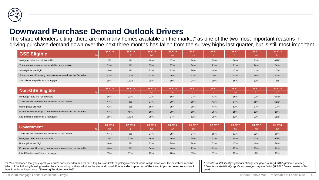

#### **Downward Purchase Demand Outlook Drivers**

The share of lenders citing "there are not many homes available on the market" as one of the two most important reasons in driving purchase demand down over the next three months has fallen from the survey highs last quarter, but is still most important.

|                                                                  | Q1 2016 | Q2 2016 | Q3 2016 | Q4 2016 | Q1 2017         | Q2 2017         | Q3 2017 | Q4 2017 | Q1 2018 |
|------------------------------------------------------------------|---------|---------|---------|---------|-----------------|-----------------|---------|---------|---------|
| <b>GSE Eligible</b><br>$N =$                                     | 11      |         | 26      | 48      | 19 <sup>°</sup> | 12 <sup>°</sup> | 31      | 48      | 22      |
| Mortgage rates are not favorable                                 | 0%      | 0%      | 19%     | 67%     | 74%             | 25%             | 20%     | 23%     | 67%*    |
| There are not many homes available on the market                 | 53%     | 0%      | 55%     | 37%     | 34%             | 73%             | 82%     | 74%     | 64%     |
| Home prices are high                                             | 40%     | 0%      | 33%     | 33%     | 39%             | 48%             | 47%     | 41%     | 47%     |
| Economic conditions (e.g., employment) overall are not favorable | 57%     | 100%    | 41%     | 26%     | 12%             | 7%              | 12%     | 15%     | 13%     |
| It is difficult to qualify for a mortgage                        | 38%     | 100%    | 28%     | 19%     | 24%             | 30%             | 16%     | 12%     | 4%      |
|                                                                  |         |         |         |         |                 |                 |         |         |         |
| <b>Non-GSE Eligible</b>                                          | Q1 2016 | Q2 2016 | Q3 2016 | Q4 2016 | Q1 2017         | Q2 2017         | Q3 2017 | Q4 2017 | Q1 2018 |
| $N =$                                                            | 11      | 6       | 24      | 38      | 13 <sup>°</sup> | 11              | 25      | 32      | 17      |
| Mortgage rates are not favorable                                 | 16%     | 32%     | 21%     | 66%     | 77%             | 43%             | 19%     | 21%     | 64%*    |
| There are not many homes available on the market                 | 47%     | 0%      | 37%     | 30%     | 18%             | 41%             | 84%     | 65%     | $61\%$  |
| Home prices are high                                             | 41%     | 0%      | 19%     | 35%     | 38%             | 44%             | 53%     | 37%     | 27%     |
| Economic conditions (e.g., employment) overall are not favorable | 47%     | 49%     | 59%     | 30%     | 10%             | 26%             | 15%     | 11%     | 18%     |
| It is difficult to qualify for a mortgage                        | 38%     | 100%    | 39%     | 17%     | 52%             | 28%             | 12%     | 23%     | 16%^    |
|                                                                  | Q1 2016 | Q2 2016 | Q3 2016 | Q4 2016 | Q1 2017         | Q2 2017         | Q3 2017 | Q4 2017 | Q1 2018 |
| <b>Government</b><br>$N =$                                       | 13      |         | 23      | 42      | 12 <sup>°</sup> | $\overline{8}$  | 25      | 38      | 16      |
| There are not many homes available on the market                 | 44%     | 0%      | 37%     | 35%     | 37%             | 65%             | 81%     | 72%     | 66%     |
| Mortgage rates are not favorable                                 | 0%      | 22%     | 16%     | 56%     | 75%             | 22%             | 18%     | 22%     | 56%*    |
| Home prices are high                                             | 46%     | 0%      | 33%     | 29%     | 24%             | 53%             | 47%     | 40%     | 36%     |
| Economic conditions (e.g., employment) overall are not favorable | 40%     | 0%      | 54%     | 40%     | 22%             | 12%             | 27%     | 15%     | 19%     |
| It is difficult to qualify for a mortgage                        | 55%     | 67%     | 25%     | 20%     | 33%             | 37%             | 13%     | 8%      | 13%     |

\*Q: You mentioned that you expect your firm's consumer demand for GSE Eligible/Non-GSE Eligible/government loans will go down over the next three months. Which of the following housing marketplace factors do you think will drive the demand down? Please **select up to two of the most important reasons** and rank them in order of importance. (**Showing Total, % rank 1+2**)

*\* Denotes a statistically significant change compared with Q4 2017 (previous quarter) ^ Denotes a statistically significant change compared with Q1 2017 (same quarter of last year)*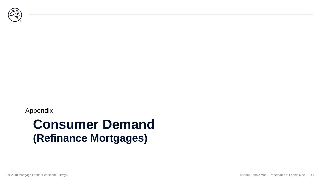

#### Appendix

## **Consumer Demand (Refinance Mortgages)**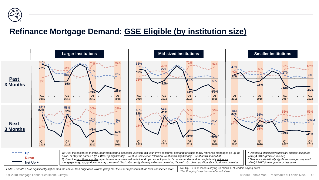

## **Refinance Mortgage Demand: GSE Eligible (by institution size)**



Q1 2018 Mortgage Lender Sentiment Survey®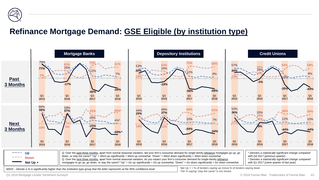

## **Refinance Mortgage Demand: GSE Eligible (by institution type)**

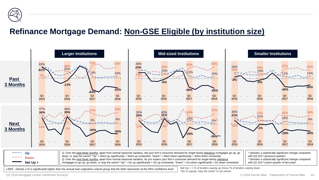![](_page_43_Picture_0.jpeg)

## **Refinance Mortgage Demand: Non-GSE Eligible (by institution size)**

![](_page_43_Figure_2.jpeg)

Q1 2018 Mortgage Lender Sentiment Survey®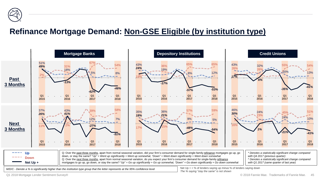![](_page_44_Picture_0.jpeg)

## **Refinance Mortgage Demand: Non-GSE Eligible (by institution type)**

![](_page_44_Figure_2.jpeg)

Q1 2018 Mortgage Lender Sentiment Survey®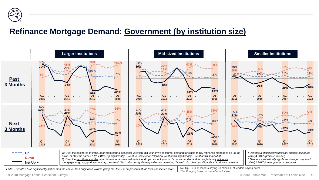![](_page_45_Picture_0.jpeg)

### **Refinance Mortgage Demand: Government (by institution size)**

![](_page_45_Figure_2.jpeg)

Q1 2018 Mortgage Lender Sentiment Survey®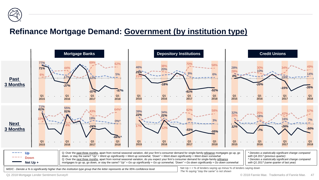![](_page_46_Picture_0.jpeg)

#### **Refinance Mortgage Demand: Government (by institution type)**

![](_page_46_Figure_2.jpeg)

*M/D/C - Denote a % is significantly higher than the institution type group that the letter represents at the 95% confidence level Net Up + = % of lenders saying up minus % of lenders saying down* 

*The % saying "stay the same" is not shown*

Q1 2018 Mortgage Lender Sentiment Survey®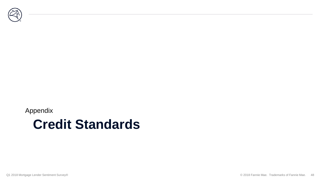![](_page_47_Picture_0.jpeg)

#### Appendix

## **Credit Standards**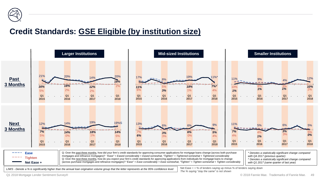![](_page_48_Picture_0.jpeg)

### **Credit Standards: GSE Eligible (by institution size)**

![](_page_48_Figure_2.jpeg)

Q1 2018 Mortgage Lender Sentiment Survey®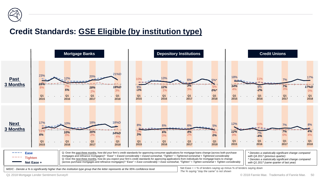![](_page_49_Picture_0.jpeg)

### **Credit Standards: GSE Eligible (by institution type)**

![](_page_49_Figure_2.jpeg)

Q1 2018 Mortgage Lender Sentiment Survey®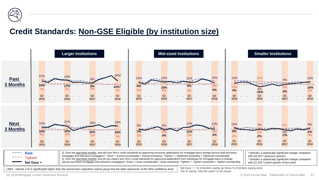![](_page_50_Picture_0.jpeg)

## **Credit Standards: Non-GSE Eligible (by institution size)**

![](_page_50_Figure_2.jpeg)

Q1 2018 Mortgage Lender Sentiment Survey®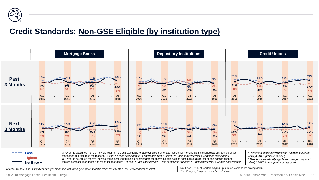![](_page_51_Picture_0.jpeg)

## **Credit Standards: Non-GSE Eligible (by institution type)**

![](_page_51_Figure_2.jpeg)

Q1 2018 Mortgage Lender Sentiment Survey®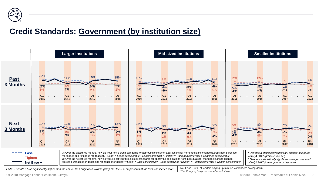![](_page_52_Picture_0.jpeg)

### **Credit Standards: Government (by institution size)**

![](_page_52_Figure_2.jpeg)

Q1 2018 Mortgage Lender Sentiment Survey®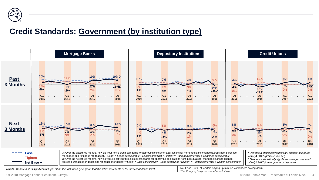![](_page_53_Picture_0.jpeg)

### **Credit Standards: Government (by institution type)**

![](_page_53_Figure_2.jpeg)

Q1 2018 Mortgage Lender Sentiment Survey®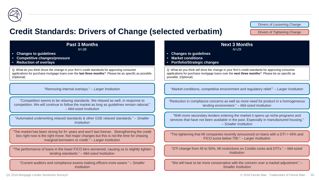![](_page_54_Picture_0.jpeg)

#### **Credit Standards: Drivers of Change (selected verbatim)**

Drivers of Loosening Change

Drivers of Tightening Change

| <b>Past 3 Months</b>                                                                                                                                                                                                                        | <b>Next 3 Months</b>                                                                                                                                                                                |
|---------------------------------------------------------------------------------------------------------------------------------------------------------------------------------------------------------------------------------------------|-----------------------------------------------------------------------------------------------------------------------------------------------------------------------------------------------------|
| $N = 38$                                                                                                                                                                                                                                    | $N = 29$                                                                                                                                                                                            |
| <b>Changes to guidelines</b>                                                                                                                                                                                                                | <b>Changes to guidelines</b>                                                                                                                                                                        |
| <b>Competitive changes/pressure</b>                                                                                                                                                                                                         | <b>Market conditions</b>                                                                                                                                                                            |
| <b>Reduction of overlays</b>                                                                                                                                                                                                                | <b>Portfolio/Strategic changes</b>                                                                                                                                                                  |
| Q: What do you think drove the change in your firm's credit standards for approving consumer                                                                                                                                                | Q: What do you think will drive the change in your firm's credit standards for approving consumer                                                                                                   |
| applications for purchase mortgage loans over the last three months? Please be as specific as possible.                                                                                                                                     | applications for purchase mortgage loans over the next three months? Please be as specific as                                                                                                       |
| (Optional)                                                                                                                                                                                                                                  | possible. (Optional)                                                                                                                                                                                |
| "Removing internal overlays." - Larger Institution                                                                                                                                                                                          | "Market conditions, competitive environment and regulatory relief." - Larger Institution                                                                                                            |
| "Competition seems to be relaxing standards. We relaxed as well, in response to<br>competition. We will continue to follow the market as long as guidelines remain rational."<br>- Mid-sized Institution                                    | "Reduction in compliance concerns as well as more need for product in a homogeneous<br>lending environment." - Mid-sized Institution                                                                |
| "Automated underwriting relaxed standards & other GSE relaxed standards." - Smaller<br><b>Institution</b>                                                                                                                                   | "With more secondary lenders entering the market it opens up niche programs and<br>services that have not been available in the past. Especially in manufactured housing."<br>- Smaller Institution |
| "The market has been strong for 8+ years and won't last forever. Strengthening the credit<br>box right now is the right move. Not major changes but this is not the time for chasing<br>marginal borrowers or credit." - Larger Institution | "The tightening that MI companies recently announced on loans with a DTI > 45% and<br>FICO score below 700." - Larger Institution                                                                   |
| "The performance of loans in the lower FICO tiers worsened, causing us to slightly tighten                                                                                                                                                  | "DTI change from 45 to 50%, MI restrictions on Credits cores and DTI's." - Mid-sized                                                                                                                |
| lending standards." - Mid-sized Institution                                                                                                                                                                                                 | <i>Institution</i>                                                                                                                                                                                  |
| "Current auditors and compliance exams making officers more aware." - Smaller                                                                                                                                                               | "We will have to be more conservative with the concern over a market adjustment." -                                                                                                                 |
| <b>Institution</b>                                                                                                                                                                                                                          | <b>Smaller Institution</b>                                                                                                                                                                          |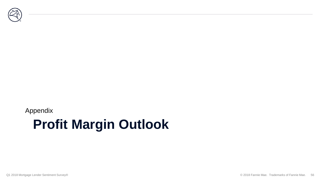![](_page_55_Picture_0.jpeg)

#### Appendix

## **Profit Margin Outlook**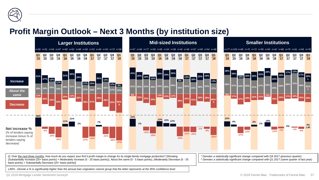![](_page_56_Picture_0.jpeg)

### **Profit Margin Outlook – Next 3 Months (by institution size)**

![](_page_56_Figure_2.jpeg)

Q: Over the next three months, how much do you expect your firm's profit margin to change for its single-family mortgage production? [Showing: (Substantially Increase (25+ basis points) + Moderately Increase (5 - 25 basis points)), About the same (0 - 5 basis points), (Moderately Decrease (5 - 25 basis points) + Substantially Decrease (25+ basis points)]

*\* Denotes a statistically significant change compared with Q4 2017 (previous quarter) ^ Denotes a statistically significant change compared with Q1 2017 (same quarter of last year)*

*L/M/S - Denote a % is significantly higher than the annual loan origination volume group that the letter represents at the 95% confidence level*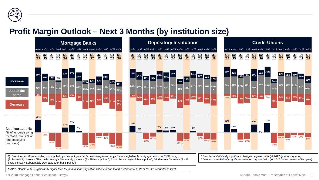![](_page_57_Picture_0.jpeg)

### **Profit Margin Outlook – Next 3 Months (by institution size)**

![](_page_57_Figure_2.jpeg)

Q: Over the next three months, how much do you expect your firm's profit margin to change for its single-family mortgage production? [Showing: (Substantially Increase (25+ basis points) + Moderately Increase (5 - 25 basis points)), About the same (0 - 5 basis points), (Moderately Decrease (5 - 25 basis points) + Substantially Decrease (25+ basis points)]

*\* Denotes a statistically significant change compared with Q4 2017 (previous quarter) ^ Denotes a statistically significant change compared with Q1 2017 (same quarter of last year)*

*M/D/C - Denote a % is significantly higher than the annual loan origination volume group that the letter represents at the 95% confidence level*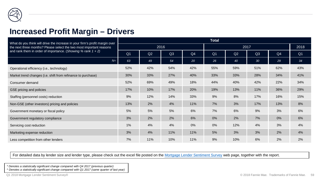![](_page_58_Picture_0.jpeg)

#### **Increased Profit Margin – Drivers**

| What do you think will drive the increase in your firm's profit margin over | <b>Total</b>   |     |      |     |                |      |                 |     |                |  |
|-----------------------------------------------------------------------------|----------------|-----|------|-----|----------------|------|-----------------|-----|----------------|--|
| the next three months? Please select the two most important reasons         |                |     | 2016 |     |                | 2018 |                 |     |                |  |
| and rank them in order of importance. (Showing % rank $1 + 2$ )             | Q <sub>1</sub> | Q2  | Q3   | Q4  | Q <sub>1</sub> | Q2   | Q3              | Q4  | Q <sub>1</sub> |  |
| $N=$                                                                        | 63             | 49  | 54   | 20  | 26             | 40   | 30 <sup>°</sup> | 29  | 34             |  |
| Operational efficiency (i.e., technology)                                   | 52%            | 42% | 54%  | 42% | 55%            | 59%  | 51%             | 62% | 43%            |  |
| Market trend changes (i.e. shift from refinance to purchase)                | 30%            | 33% | 27%  | 40% | 33%            | 33%  | 28%             | 34% | 41%            |  |
| Consumer demand                                                             | 52%            | 69% | 49%  | 18% | 44%            | 40%  | 42%             | 22% | 34%            |  |
| GSE pricing and policies                                                    | 17%            | 10% | 17%  | 20% | 19%            | 13%  | 11%             | 36% | 29%            |  |
| Staffing (personnel costs) reduction                                        | 9%             | 12% | 14%  | 33% | 9%             | 8%   | 17%             | 16% | 15%            |  |
| Non-GSE (other investors) pricing and policies                              | 13%            | 2%  | 4%   | 11% | 7%             | 3%   | 17%             | 13% | 8%             |  |
| Government monetary or fiscal policy                                        | 5%             | 5%  | 5%   | 6%  | 7%             | 6%   | 9%              | 3%  | 6%             |  |
| Government regulatory compliance                                            | 3%             | 2%  | 2%   | 6%  | 0%             | 2%   | 7%              | 0%  | 6%             |  |
| Servicing cost reduction                                                    | 1%             | 4%  | 4%   | 0%  | 0%             | 12%  | 4%              | 3%  | 4%             |  |
| Marketing expense reduction                                                 | 3%             | 4%  | 11%  | 11% | 5%             | 3%   | 3%              | 2%  | 4%             |  |
| Less competition from other lenders                                         | 7%             | 11% | 10%  | 11% | 9%             | 10%  | 6%              | 2%  | 2%             |  |

For detailed data by lender size and lender type, please check out the excel file posted on the [Mortgage Lender Sentiment Survey](http://www.fanniemae.com/portal/research-and-analysis/mortgage-lender-survey.html) web page, together with the report.

*\* Denotes a statistically significant change compared with Q4 2017 (previous quarter)*

*^ Denotes a statistically significant change compared with Q1 2017 (same quarter of last year)*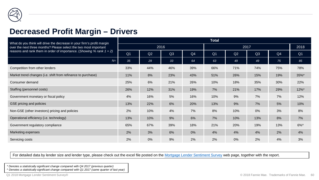![](_page_59_Picture_0.jpeg)

#### **Decreased Profit Margin – Drivers**

| What do you think will drive the decrease in your firm's profit margin  | <b>Total</b>   |     |      |                |                |      |     |     |                |  |  |
|-------------------------------------------------------------------------|----------------|-----|------|----------------|----------------|------|-----|-----|----------------|--|--|
| over the next three months? Please select the two most important        |                |     | 2016 |                |                | 2018 |     |     |                |  |  |
| reasons and rank them in order of importance. (Showing % rank $1 + 2$ ) | Q <sub>1</sub> | Q2  | Q3   | Q <sub>4</sub> | Q <sub>1</sub> | Q2   | Q3  | Q4  | Q <sub>1</sub> |  |  |
| $N=$                                                                    | 35             | 29  | 33   | 64             | 63             | 49   | 49  | 75  | 85             |  |  |
| Competition from other lenders                                          | 33%            | 44% | 46%  | 39%            | 66%            | 71%  | 74% | 75% | 78%            |  |  |
| Market trend changes (i.e. shift from refinance to purchase)            | 11%            | 8%  | 23%  | 43%            | 51%            | 26%  | 15% | 19% | 35%*           |  |  |
| Consumer demand                                                         | 25%            | 6%  | 21%  | 26%            | 10%            | 18%  | 35% | 30% | 22%            |  |  |
| Staffing (personnel costs)                                              | 26%            | 12% | 31%  | 19%            | 7%             | 21%  | 17% | 29% | $12\%$ *       |  |  |
| Government monetary or fiscal policy                                    | 4%             | 16% | 5%   | 16%            | 10%            | 9%   | 7%  | 7%  | 12%            |  |  |
| GSE pricing and policies                                                | 13%            | 22% | 6%   | 20%            | 13%            | 9%   | 7%  | 5%  | 10%            |  |  |
| Non-GSE (other investors) pricing and policies                          | 2%             | 10% | 4%   | 7%             | 8%             | 10%  | 0%  | 3%  | 8%             |  |  |
| Operational efficiency (i.e. technology)                                | 13%            | 10% | 9%   | 6%             | 7%             | 10%  | 13% | 8%  | 7%             |  |  |
| Government regulatory compliance                                        | 65%            | 67% | 39%  | 18%            | 21%            | 20%  | 19% | 13% | $6\%$          |  |  |
| <b>Marketing expenses</b>                                               | 2%             | 3%  | 6%   | 0%             | 4%             | 4%   | 4%  | 2%  | 4%             |  |  |
| Servicing costs                                                         | 2%             | 0%  | 9%   | 2%             | 2%             | 0%   | 2%  | 4%  | 3%             |  |  |

For detailed data by lender size and lender type, please check out the excel file posted on the [Mortgage Lender Sentiment Survey](http://www.fanniemae.com/portal/research-and-analysis/mortgage-lender-survey.html) web page, together with the report.

*\* Denotes a statistically significant change compared with Q4 2017 (previous quarter)*

*^ Denotes a statistically significant change compared with Q1 2017 (same quarter of last year)*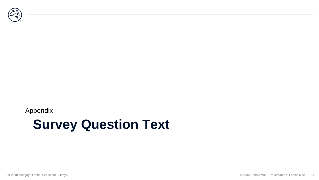![](_page_60_Picture_0.jpeg)

#### Appendix

## **Survey Question Text**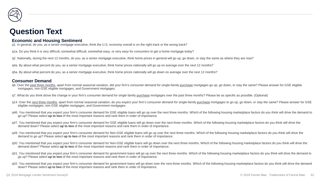![](_page_61_Picture_0.jpeg)

#### **Question Text**

#### **Economic and Housing Sentiment**

q1. In general, do you, as a senior mortgage executive, think the U.S. economy overall is on the right track or the wrong track?

q1a. Do you think it is very difficult, somewhat difficult, somewhat easy, or very easy for consumers to get a home mortgage today?

q2. Nationally, during the next 12 months, do you, as a senior mortgage executive, think home prices in general will go up, go down, or stay the same as where they are now?

q4a. By about what percent do you, as a senior mortgage executive, think home prices nationally will go up on average over the next 12 months?

q5a. By about what percent do you, as a senior mortgage executive, think home prices nationally will go down on average over the next 12 months?

#### **Consumer Demand**

- q6. Over the past three months, apart from normal seasonal variation, did your firm's consumer demand for single-family purchase mortgages go up, go down, or stay the same? Please answer for GSE eligible mortgages, non-GSE eligible mortgages, and Government mortgages.
- q7. What do you think drove the change in your firm's consumer demand for single family purchase mortgages over the past three months? Please be as specific as possible. (Optional)
- q14. Over the next three months, apart from normal seasonal variation, do you expect your firm's consumer demand for single-family purchase mortgages to go up, go down, or stay the same? Please answer for GSE eligible mortgages, non-GSE eligible mortgages, and Government mortgages.
- q46. You mentioned that you expect your firm's consumer demand for GSE eligible loans will go up over the next three months. Which of the following housing marketplace factors do you think will drive the demand to go up? Please select **up to two** of the most important reasons and rank them in order of importance.
- q47. You mentioned that you expect your firm's consumer demand for GSE eligible loans will go down over the next three months. Which of the following housing marketplace factors do you think will drive the demand down? Please select **up to two** of the most important reasons and rank them in order of importance.
- g49. You mentioned that you expect your firm's consumer demand for Non-GSE eligible loans will go up over the next three months. Which of the following housing marketplace factors do you think will drive the demand to go up? Please select **up to two** of the most important reasons and rank them in order of importance.
- g50. You mentioned that you expect your firm's consumer demand for Non-GSE eligible loans will go down over the next three months. Which of the following housing marketplace factors do you think will drive the demand down? Please select **up to two** of the most important reasons and rank them in order of importance.
- q51. You mentioned that you expect your firm's consumer demand for government loans will go up over the next three months. Which of the following housing marketplace factors do you think will drive the demand to go up? Please select **up to two** of the most important reasons and rank them in order of importance.
- q52. You mentioned that you expect your firm's consumer demand for government loans will go down over the next three months. Which of the following housing marketplace factors do you think will drive the demand down? Please select **up to two** of the most important reasons and rank them in order of importance.